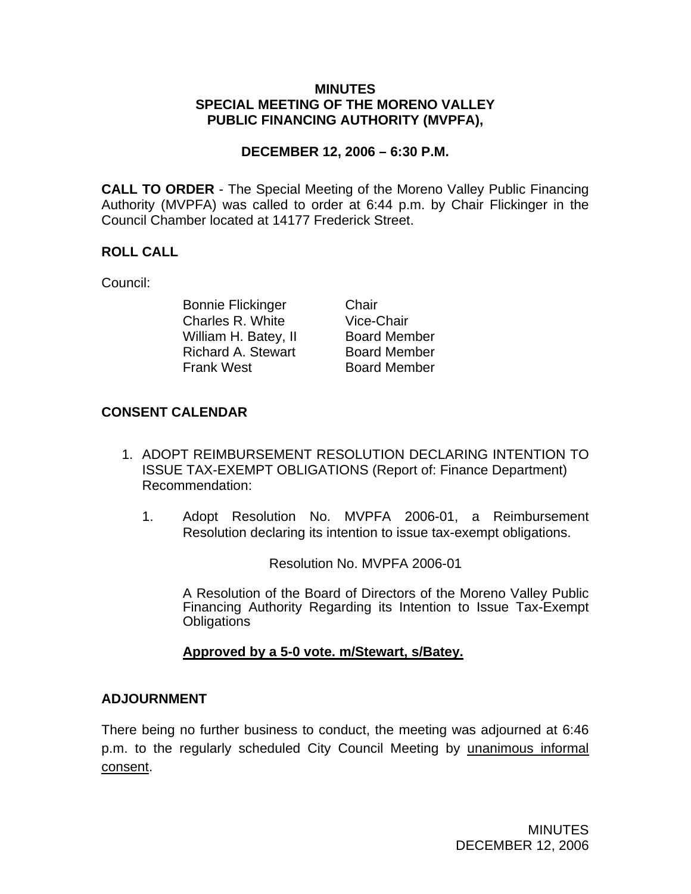#### **MINUTES SPECIAL MEETING OF THE MORENO VALLEY PUBLIC FINANCING AUTHORITY (MVPFA),**

### **DECEMBER 12, 2006 – 6:30 P.M.**

**CALL TO ORDER** - The Special Meeting of the Moreno Valley Public Financing Authority (MVPFA) was called to order at 6:44 p.m. by Chair Flickinger in the Council Chamber located at 14177 Frederick Street.

# **ROLL CALL**

Council:

Bonnie Flickinger Chair<br>Charles R. White Vice-Chair Charles R. White Vice-Chair<br>
William H. Batey, II Board Member<br>
Richard A. Stewart Board Member William H. Batey, II Richard A. Stewart Frank West Board Member

## **CONSENT CALENDAR**

- 1. ADOPT REIMBURSEMENT RESOLUTION DECLARING INTENTION TO ISSUE TAX-EXEMPT OBLIGATIONS (Report of: Finance Department) Recommendation:
	- 1. Adopt Resolution No. MVPFA 2006-01, a Reimbursement Resolution declaring its intention to issue tax-exempt obligations.

Resolution No. MVPFA 2006-01

A Resolution of the Board of Directors of the Moreno Valley Public Financing Authority Regarding its Intention to Issue Tax-Exempt **Obligations** 

### **Approved by a 5-0 vote. m/Stewart, s/Batey.**

### **ADJOURNMENT**

There being no further business to conduct, the meeting was adjourned at 6:46 p.m. to the regularly scheduled City Council Meeting by unanimous informal consent.